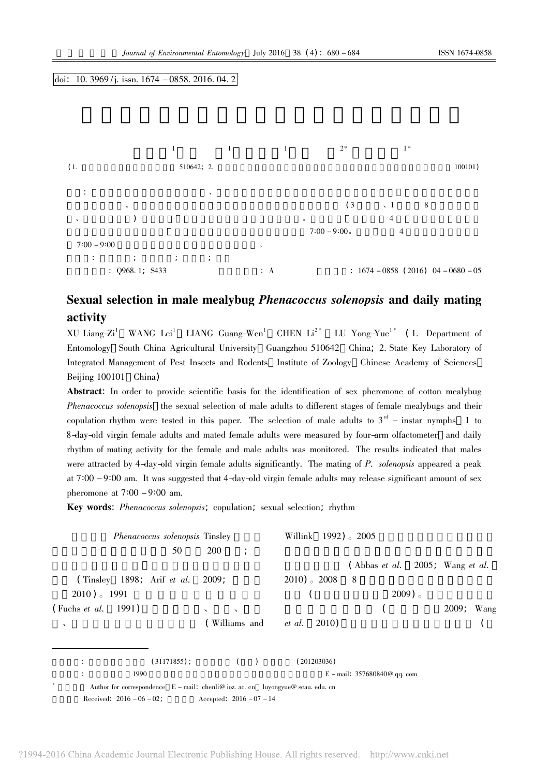#### doi: 10. 3969/j. issn.  $1674 - 0858$ . 2016. 04. 2



# Sexual selection in male mealybug *Phenacoccus solenopsis* and daily mating activity

XU Liang-Zi<sup>1</sup> WANG Lei<sup>1</sup> LIANG Guang-Wen<sup>1</sup> CHEN Li<sup>2\*</sup> LU Yong-Yue<sup>1\*</sup> (1. Department of Entomology South China Agricultural University Guangzhou 510642 China; 2. State Key Laboratory of Integrated Management of Pest Insects and Rodents Institute of Zoology Chinese Academy of Sciences Beijing 100101 China)

Abstract: In order to provide scientific basis for the identification of sex pheromone of cotton mealybug Phenacoccus solenopsis the sexual selection of male adults to different stages of female mealybugs and their copulation rhythm were tested in this paper. The selection of male adults to  $3^{rd}$  – instar nymphs 1 to 8-day-old virgin female adults and mated female adults were measured by four-arm olfactometer and daily rhythm of mating activity for the female and male adults was monitored. The results indicated that males were attracted by 4-day-old virgin female adults significantly. The mating of P. solenopsis appeared a peak at  $7:00 - 9:00$  am. It was suggested that 4-day-old virgin female adults may release significant amount of sex pheromone at  $7:00 - 9:00$  am.

Key words: Phenacoccus solenopsis; copulation; sexual selection; rhythm

| <i>Phenacoccus solenopsis</i> Tinsley |                |                                                                                     | Willink 1992) <sub>o</sub> 2005 |                                               |               |
|---------------------------------------|----------------|-------------------------------------------------------------------------------------|---------------------------------|-----------------------------------------------|---------------|
|                                       | 50             | 200<br>$\cdot$                                                                      |                                 |                                               |               |
|                                       |                |                                                                                     |                                 | (Abbas <i>et al.</i> 2005; Wang <i>et al.</i> |               |
| (Tinsley 1898; Arif <i>et al.</i>     |                | 2009:                                                                               | $2010$ ) $\,2008$               | 8                                             |               |
| $2010$ ) $1991$                       |                |                                                                                     |                                 | $2009$ ).                                     |               |
| (Fuchs <i>et al.</i> 1991)            |                | $\mathcal{L}$<br>$\sqrt{2}$                                                         |                                 |                                               | 2009;<br>Wang |
| $\checkmark$                          |                | (Williams and <i>et al.</i>                                                         | 2010)                           |                                               |               |
|                                       | $(31171855)$ ; |                                                                                     | (201203036)                     |                                               |               |
| 1990                                  |                |                                                                                     | E – mail. $357680840@$ qq. com  |                                               |               |
| *                                     |                | Author for correspondence $E - mail$ : chenli@ ioz. ac. cn luyongyue@ scau. edu. cn |                                 |                                               |               |
| Received: $2016 - 06 - 02$ ;          |                | Accepted: $2016 - 07 - 14$                                                          |                                 |                                               |               |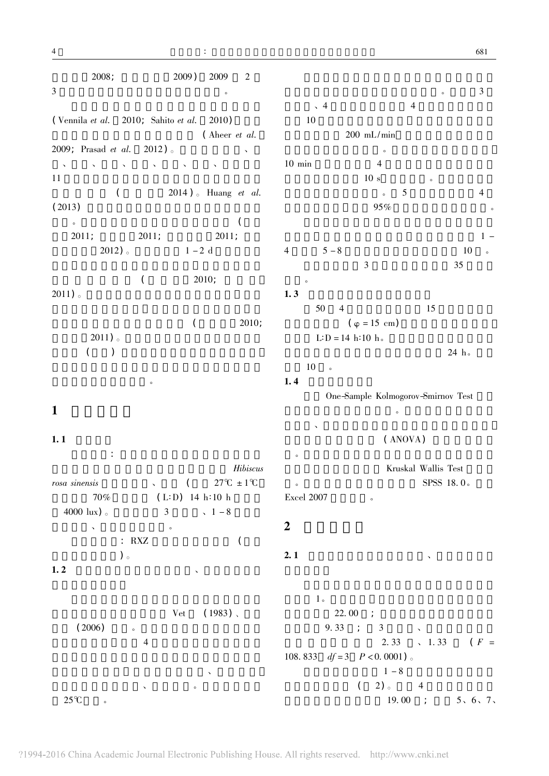$2008:$ 2009) 2009  $\overline{2}$  $\overline{3}$  $\circ$ (Vennila et al. 2010; Sahito et al.  $2010)$ (Aheer et al.  $2012$ ). 2009; Prasad et al. 11  $\overline{(\ }$  $2014$ ). Huang et al.  $(2013)$  $\overline{ }$  $\circ$  $2011;$  $2011;$  $2011;$  $2012$ ).  $1 - 2$  d  $\overline{(\ }$  $2010:$  $2011$ ).  $\overline{(\ }$  $2011$ ).  $\overline{(\ }$  $\left( \right)$  $\circ$ 

## $\mathbf{1}$

### $1.1$

 $\bar{\mathcal{L}}$ Hibiscus  $27^{\circ}C \pm 1^{\circ}C$ rosa sinensis  $\left($ 70%  $(L:D)$  14 h:10 h 4000 lux $)$  $\overline{3}$  $1 - 8$  $\circ$  $: RXZ$  $\overline{(\ }$  $)$ 。

### $1.2$

 $(1983)$ , Vet  $(2006)$  $\overline{4}$  $25^{\circ}C$  $\circ$ 

681

3  $\sqrt{4}$  $\overline{4}$ 10  $200$  mL/min  $\sim$  $\overline{4}$  $10$  min  $10 s$ 5  $\overline{4}$  $\circ$ 95%  $1 5 - 8$ 10  $\overline{4}$  $\overline{3}$ 35  $1.3$ 50  $\overline{4}$ 15  $2010$  $(\varphi = 15 \text{ cm})$  $L:D = 14 h:10 h.$  $24 h$  $10\,$  $\overline{\phantom{0}}$  $1.4$ One-Sample Kolmogorov-Smirnov Test  $\circ$  $(ANOVA)$  $\circ$ Kruskal Wallis Test SPSS 18.0.  $\circ$ Excel 2007  $\boldsymbol{2}$  $2.1$  $1\, \circ$  $22.00$  ;  $9.33 : 3$  $\ddot{\phantom{1}}$ 

> $2.33 \t\t 1.33$  $(F =$ 108.833  $df = 3$   $P < 0.0001$  .  $1 - 8$  $\left($  $2)$  4 19.00 ;  $5, 6, 7,$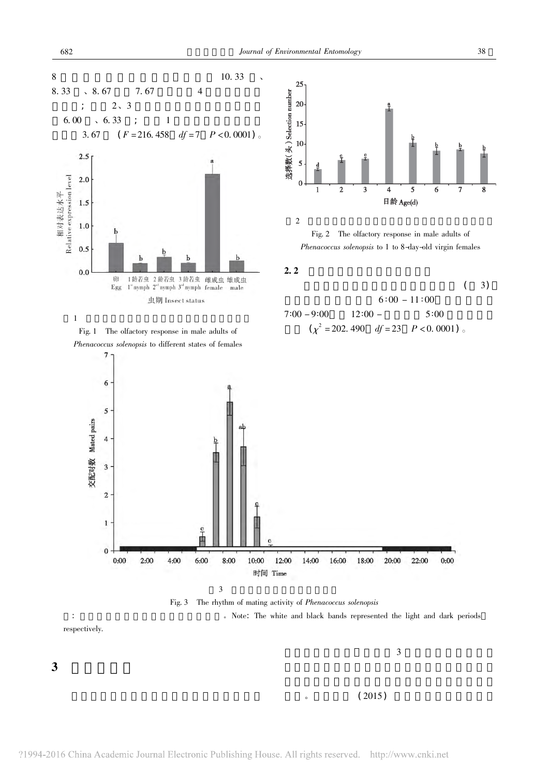



3

682

8

 $\mathfrak{Z}$ 



 $\mathbf{8}$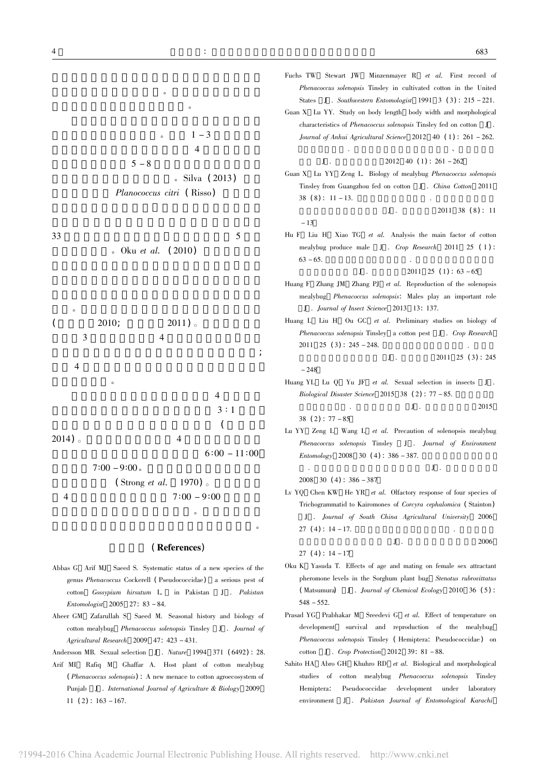$1 - 3$  $\overline{4}$  $5 - 8$ . Silva (2013)

Planococcus citri (Risso)

33 . Oku *et al.*  $(2010)$ 



 $7:00 - 9:00$  $\overline{4}$ 

#### (References)

 $\sim$ 

- Abbas G Arif MJ Saeed S. Systematic status of a new species of the genus Phenacoccus Cockerell (Pseudococcidae) a serious pest of cotton *Gossypium* hirsutum L. in Pakistan J . Pakistan Entomologist 2005 27: 83 - 84.
- Aheer GM Zafarullah S Saeed M. Seasonal history and biology of cotton mealybug Phenacoccus solenopsis Tinsley J . Journal of Agricultural Research 2009 47: 423 - 431.
- Andersson MB. Sexual selection J . Nature 1994 371 (6492): 28.
- Arif MI Rafiq M Ghaffar A. Host plant of cotton mealybug (Phenacoccus solenopsis): A new menace to cotton agroecosystem of Punjab J . International Journal of Agriculture & Biology 2009  $11(2): 163 - 167.$

Fuchs TW Stewart JW Minzenmayer R et al. First record of Phenacoccus solenopsis Tinsley in cultivated cotton in the United States J . Southwestern Entomologist 1991  $3$  (3): 215 - 221. Guan X Lu YY. Study on body length body width and morphological

characteristics of *Phenacoccus solenopsis* Tinsley fed on cotton J. Journal of Anhui Agricultural Science 2012 40 (1): 261 - 262.

 $2012 \quad 40 \quad (1) : 261 - 262$ 

Guan X Lu YY Zeng L. Biology of mealybug Phenacoccus solenopsis Tinsley from Guangzhou fed on cotton J. China Cotton 2011  $38(8): 11-13.$ 

 $J$ .

 $-13$ 

5

 $J$ .

Hu F Liu H Xiao TG et al. Analysis the main factor of cotton mealybug produce male J . Crop Research 2011 25 (1):  $63 - 65$ .

> $J$ .  $2011 \quad 25 \quad (1): 63 - 65$

- Huang F Zhang JM Zhang PJ et al. Reproduction of the solenopsis mealybug Phenacoccus solenopsis: Males play an important role J . Journal of Insect Science 2013 13: 137.
- Huang L Liu H Ou GC et al. Preliminary studies on biology of Phenacoccus solenopsis Tinsley a cotton pest J . Crop Research  $2011 \quad 25 \quad (3): 245 - 248.$

 $2011$   $25$   $(3)$ :  $245$  $\mathbf{J}$ .  $-248$ 

 $I$ .

 ${\bf J}$  .

Huang YL Lu Q Yu JF et al. Sexual selection in insects J. Biological Disaster Science 2015 38 (2):  $77 - 85$ .

38 (2):  $77 - 85$ 

Lu YY Zeng L Wang L et al. Precaution of solenopsis mealybug Phenacoccus solenopsis Tinsley J . Journal of Environment  $Entomology$  2008 30 (4): 386 - 387.

 $2008$  30 (4): 386 - 387

Lv YQ Chen KW He YR et al. Olfactory response of four species of Trichogrammatid to Kairomones of Corcyra cephalomica (Stainton) J . Journal of South China Agricultural University 2006  $27(4): 14-17.$ 

 $I$ .

2006

2015

 $27(4): 14-17$ 

- Oku K Yasuda T. Effects of age and mating on female sex attractant pheromone levels in the Sorghum plant bug Stenotus rubrovittatus (Matsumura) J . Journal of Chemical Ecology 2010 36 (5):  $548 - 552$ .
- Prasad YG Prabhakar M Sreedevi G et al. Effect of temperature on development survival and reproduction of the mealybug Phenacoccus solenopsis Tinsley (Hemiptera: Pseudococcidae) on cotton J . Crop Protection 2012 39:  $81 - 88$ .
- Sahito HA Abro GH Khuhro RD et al. Biological and morphological studies of cotton mealybug Phenacoccus solenopsis Tinsley Pseudococcidae development Hemiptera: under laboratory environment J . Pakistan Journal of Entomological Karachi

 $2011$  38 (8): 11